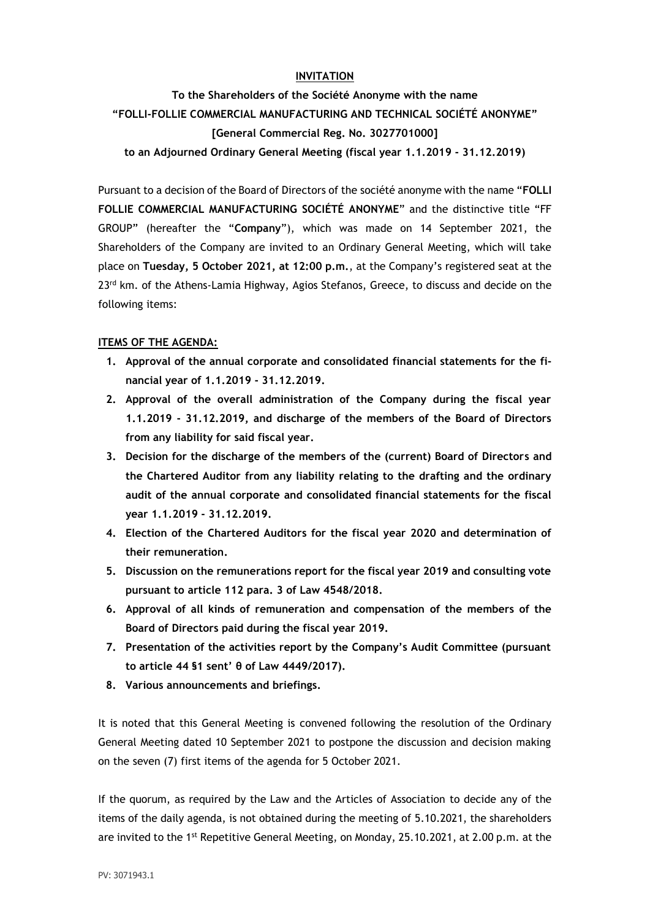## **INVITATION**

**To the Shareholders of the Société Anonyme with the name "FOLLI-FOLLIE COMMERCIAL MANUFACTURING AND TECHNICAL SOCIÉTÉ ANONYME" [General Commercial Reg. No. 3027701000]**

**to an Adjourned Ordinary General Meeting (fiscal year 1.1.2019 - 31.12.2019)**

Pursuant to a decision of the Board of Directors of the société anonyme with the name "**FOLLI FOLLIE COMMERCIAL MANUFACTURING SOCIÉTÉ ANONYME**" and the distinctive title "FF GROUP" (hereafter the "**Company**"), which was made on 14 September 2021, the Shareholders of the Company are invited to an Ordinary General Meeting, which will take place on **Tuesday, 5 October 2021, at 12:00 p.m.**, at the Company's registered seat at the 23<sup>rd</sup> km. of the Athens-Lamia Highway, Agios Stefanos, Greece, to discuss and decide on the following items:

### **ITEMS OF THE AGENDA:**

- **1. Approval of the annual corporate and consolidated financial statements for the financial year of 1.1.2019 - 31.12.2019.**
- **2. Approval of the overall administration of the Company during the fiscal year 1.1.2019 - 31.12.2019, and discharge of the members of the Board of Directors from any liability for said fiscal year.**
- **3. Decision for the discharge of the members of the (current) Board of Directors and the Chartered Auditor from any liability relating to the drafting and the ordinary audit of the annual corporate and consolidated financial statements for the fiscal year 1.1.2019 - 31.12.2019.**
- **4. Election of the Chartered Auditors for the fiscal year 2020 and determination of their remuneration.**
- **5. Discussion on the remunerations report for the fiscal year 2019 and consulting vote pursuant to article 112 para. 3 of Law 4548/2018.**
- **6. Approval of all kinds of remuneration and compensation of the members of the Board of Directors paid during the fiscal year 2019.**
- **7. Presentation of the activities report by the Company's Audit Committee (pursuant to article 44 §1 sent' θ of Law 4449/2017).**
- **8. Various announcements and briefings.**

It is noted that this General Meeting is convened following the resolution of the Ordinary General Meeting dated 10 September 2021 to postpone the discussion and decision making on the seven (7) first items of the agenda for 5 October 2021.

If the quorum, as required by the Law and the Articles of Association to decide any of the items of the daily agenda, is not obtained during the meeting of 5.10.2021, the shareholders are invited to the 1<sup>st</sup> Repetitive General Meeting, on Monday, 25.10.2021, at 2.00 p.m. at the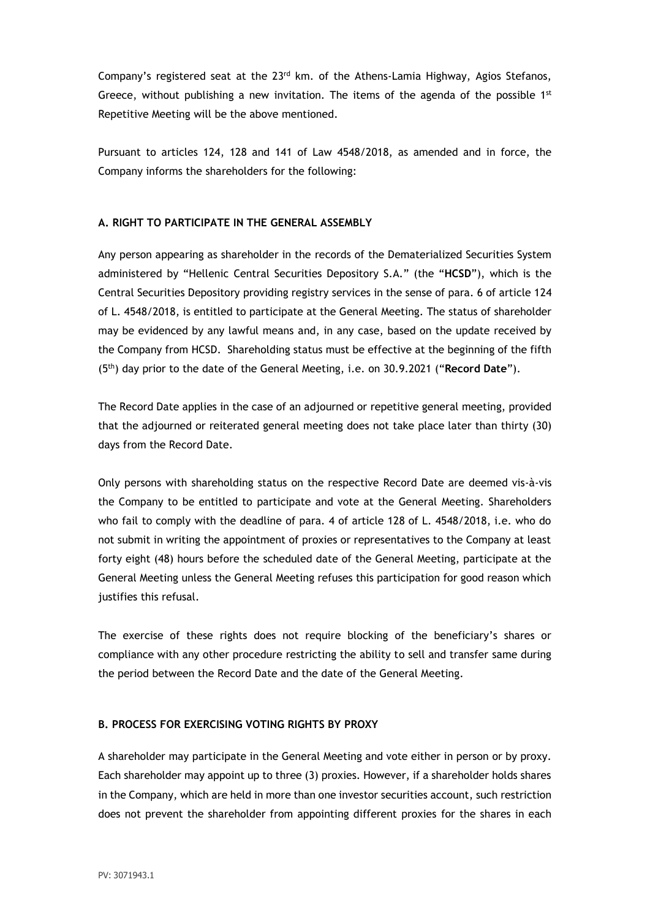Company's registered seat at the  $23<sup>rd</sup>$  km. of the Athens-Lamia Highway, Agios Stefanos, Greece, without publishing a new invitation. The items of the agenda of the possible  $1<sup>st</sup>$ Repetitive Meeting will be the above mentioned.

Pursuant to articles 124, 128 and 141 of Law 4548/2018, as amended and in force, the Company informs the shareholders for the following:

## **A. RIGHT TO PARTICIPATE IN THE GENERAL ASSEMBLY**

Any person appearing as shareholder in the records of the Dematerialized Securities System administered by "Hellenic Central Securities Depository S.A." (the "**HCSD**"), which is the Central Securities Depository providing registry services in the sense of para. 6 of article 124 of L. 4548/2018, is entitled to participate at the General Meeting. The status of shareholder may be evidenced by any lawful means and, in any case, based on the update received by the Company from HCSD. Shareholding status must be effective at the beginning of the fifth (5th) day prior to the date of the General Meeting, i.e. on 30.9.2021 ("**Record Date**").

The Record Date applies in the case of an adjourned or repetitive general meeting, provided that the adjourned or reiterated general meeting does not take place later than thirty (30) days from the Record Date.

Only persons with shareholding status on the respective Record Date are deemed vis-à-vis the Company to be entitled to participate and vote at the General Meeting. Shareholders who fail to comply with the deadline of para. 4 of article 128 of L. 4548/2018, i.e. who do not submit in writing the appointment of proxies or representatives to the Company at least forty eight (48) hours before the scheduled date of the General Meeting, participate at the General Meeting unless the General Meeting refuses this participation for good reason which justifies this refusal.

The exercise of these rights does not require blocking of the beneficiary's shares or compliance with any other procedure restricting the ability to sell and transfer same during the period between the Record Date and the date of the General Meeting.

# **B. PROCESS FOR EXERCISING VOTING RIGHTS BY PROXY**

A shareholder may participate in the General Meeting and vote either in person or by proxy. Each shareholder may appoint up to three (3) proxies. However, if a shareholder holds shares in the Company, which are held in more than one investor securities account, such restriction does not prevent the shareholder from appointing different proxies for the shares in each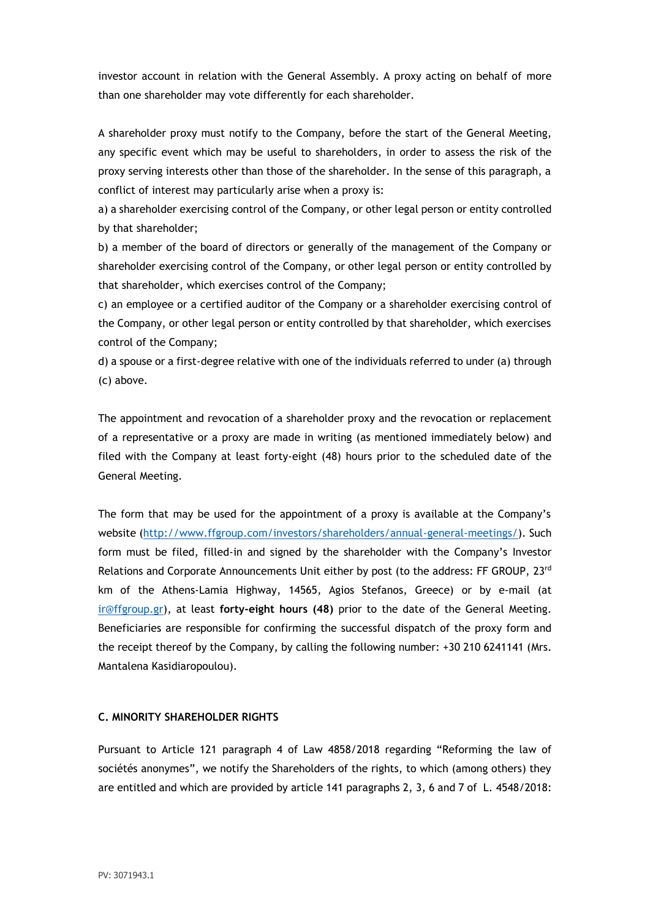investor account in relation with the General Assembly. A proxy acting on behalf of more than one shareholder may vote differently for each shareholder.

A shareholder proxy must notify to the Company, before the start of the General Meeting, any specific event which may be useful to shareholders, in order to assess the risk of the proxy serving interests other than those of the shareholder. In the sense of this paragraph, a conflict of interest may particularly arise when a proxy is:

a) a shareholder exercising control of the Company, or other legal person or entity controlled by that shareholder;

b) a member of the board of directors or generally of the management of the Company or shareholder exercising control of the Company, or other legal person or entity controlled by that shareholder, which exercises control of the Company;

c) an employee or a certified auditor of the Company or a shareholder exercising control of the Company, or other legal person or entity controlled by that shareholder, which exercises control of the Company;

d) a spouse or a first-degree relative with one of the individuals referred to under (a) through (c) above.

The appointment and revocation of a shareholder proxy and the revocation or replacement of a representative or a proxy are made in writing (as mentioned immediately below) and filed with the Company at least forty-eight (48) hours prior to the scheduled date of the General Meeting.

The form that may be used for the appointment of a proxy is available at the Company's website [\(http://www.ffgroup.com/investors/shareholders/annual-general-meetings/\)](http://www.ffgroup.com/investors/shareholders/annual-general-meetings/). Such form must be filed, filled-in and signed by the shareholder with the Company's Investor Relations and Corporate Announcements Unit either by post (to the address: FF GROUP, 23rd km of the Athens-Lamia Highway, 14565, Agios Stefanos, Greece) or by e-mail (at [ir@ffgroup.gr\)](mailto:ir@ffgroup.gr), at least **forty-eight hours (48)** prior to the date of the General Meeting. Beneficiaries are responsible for confirming the successful dispatch of the proxy form and the receipt thereof by the Company, by calling the following number: +30 210 6241141 (Mrs. Mantalena Kasidiaropoulou).

### **C. MINORITY SHAREHOLDER RIGHTS**

Pursuant to Article 121 paragraph 4 of Law 4858/2018 regarding "Reforming the law of sociétés anonymes", we notify the Shareholders of the rights, to which (among others) they are entitled and which are provided by article 141 paragraphs 2, 3, 6 and 7 of L. 4548/2018: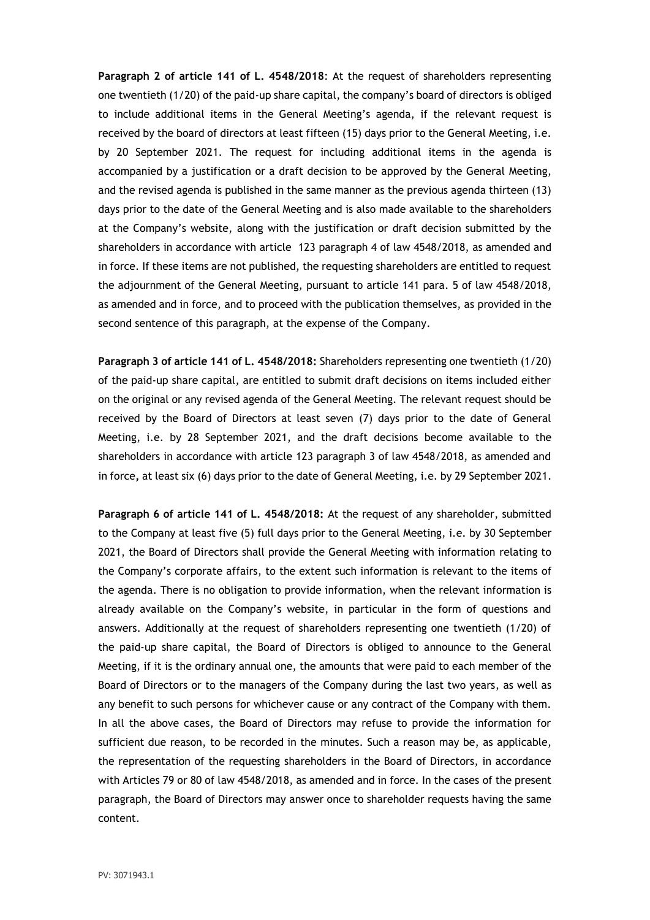**Paragraph 2 of article 141 of L. 4548/2018**: At the request of shareholders representing one twentieth (1/20) of the paid-up share capital, the company's board of directors is obliged to include additional items in the General Meeting's agenda, if the relevant request is received by the board of directors at least fifteen (15) days prior to the General Meeting, i.e. by 20 September 2021. The request for including additional items in the agenda is accompanied by a justification or a draft decision to be approved by the General Meeting, and the revised agenda is published in the same manner as the previous agenda thirteen (13) days prior to the date of the General Meeting and is also made available to the shareholders at the Company's website, along with the justification or draft decision submitted by the shareholders in accordance with article 123 paragraph 4 of law 4548/2018, as amended and in force. If these items are not published, the requesting shareholders are entitled to request the adjournment of the General Meeting, pursuant to article 141 para. 5 of law 4548/2018, as amended and in force, and to proceed with the publication themselves, as provided in the second sentence of this paragraph, at the expense of the Company.

**Paragraph 3 of article 141 of L. 4548/2018:** Shareholders representing one twentieth (1/20) of the paid-up share capital, are entitled to submit draft decisions on items included either on the original or any revised agenda of the General Meeting. The relevant request should be received by the Board of Directors at least seven (7) days prior to the date of General Meeting, i.e. by 28 September 2021, and the draft decisions become available to the shareholders in accordance with article 123 paragraph 3 of law 4548/2018, as amended and in force**,** at least six (6) days prior to the date of General Meeting, i.e. by 29 September 2021.

**Paragraph 6 of article 141 of L. 4548/2018:** At the request of any shareholder, submitted to the Company at least five (5) full days prior to the General Meeting, i.e. by 30 September 2021, the Board of Directors shall provide the General Meeting with information relating to the Company's corporate affairs, to the extent such information is relevant to the items of the agenda. There is no obligation to provide information, when the relevant information is already available on the Company's website, in particular in the form of questions and answers. Additionally at the request of shareholders representing one twentieth (1/20) of the paid-up share capital, the Board of Directors is obliged to announce to the General Meeting, if it is the ordinary annual one, the amounts that were paid to each member of the Board of Directors or to the managers of the Company during the last two years, as well as any benefit to such persons for whichever cause or any contract of the Company with them. In all the above cases, the Board of Directors may refuse to provide the information for sufficient due reason, to be recorded in the minutes. Such a reason may be, as applicable, the representation of the requesting shareholders in the Board of Directors, in accordance with Articles 79 or 80 of law 4548/2018, as amended and in force. In the cases of the present paragraph, the Board of Directors may answer once to shareholder requests having the same content.